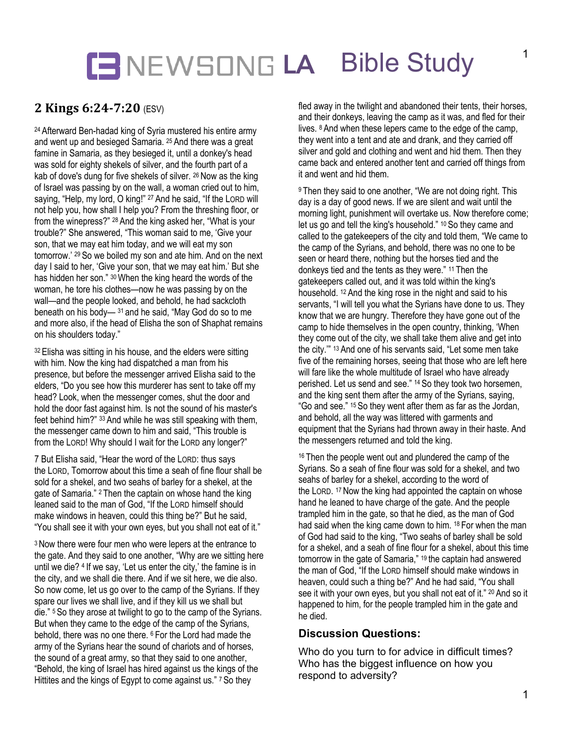## **LA** Bible Study

## **2 Kings 6:24-7:20** (ESV)

<sup>24</sup> Afterward Ben-hadad king of Syria mustered his entire army and went up and besieged Samaria. <sup>25</sup> And there was a great famine in Samaria, as they besieged it, until a donkey's head was sold for eighty shekels of silver, and the fourth part of a kab of dove's dung for five shekels of silver. <sup>26</sup> Now as the king of Israel was passing by on the wall, a woman cried out to him, saying, "Help, my lord, O king!" <sup>27</sup> And he said, "If the LORD will not help you, how shall I help you? From the threshing floor, or from the winepress?" <sup>28</sup> And the king asked her, "What is your trouble?" She answered, "This woman said to me, 'Give your son, that we may eat him today, and we will eat my son tomorrow.' <sup>29</sup> So we boiled my son and ate him. And on the next day I said to her, 'Give your son, that we may eat him.' But she has hidden her son." <sup>30</sup> When the king heard the words of the woman, he tore his clothes—now he was passing by on the wall—and the people looked, and behold, he had sackcloth beneath on his body— <sup>31</sup> and he said, "May God do so to me and more also, if the head of Elisha the son of Shaphat remains on his shoulders today."

32 Elisha was sitting in his house, and the elders were sitting with him. Now the king had dispatched a man from his presence, but before the messenger arrived Elisha said to the elders, "Do you see how this murderer has sent to take off my head? Look, when the messenger comes, shut the door and hold the door fast against him. Is not the sound of his master's feet behind him?" <sup>33</sup> And while he was still speaking with them, the messenger came down to him and said, "This trouble is from the LORD! Why should I wait for the LORD any longer?"

7 But Elisha said, "Hear the word of the LORD: thus says the LORD, Tomorrow about this time a seah of fine flour shall be sold for a shekel, and two seahs of barley for a shekel, at the gate of Samaria." <sup>2</sup> Then the captain on whose hand the king leaned said to the man of God, "If the LORD himself should make windows in heaven, could this thing be?" But he said, "You shall see it with your own eyes, but you shall not eat of it."

<sup>3</sup> Now there were four men who were lepers at the entrance to the gate. And they said to one another, "Why are we sitting here until we die? <sup>4</sup> If we say, 'Let us enter the city,' the famine is in the city, and we shall die there. And if we sit here, we die also. So now come, let us go over to the camp of the Syrians. If they spare our lives we shall live, and if they kill us we shall but die." <sup>5</sup> So they arose at twilight to go to the camp of the Syrians. But when they came to the edge of the camp of the Syrians, behold, there was no one there. <sup>6</sup> For the Lord had made the army of the Syrians hear the sound of chariots and of horses, the sound of a great army, so that they said to one another, "Behold, the king of Israel has hired against us the kings of the Hittites and the kings of Egypt to come against us." <sup>7</sup> So they

fled away in the twilight and abandoned their tents, their horses, and their donkeys, leaving the camp as it was, and fled for their lives. <sup>8</sup> And when these lepers came to the edge of the camp, they went into a tent and ate and drank, and they carried off silver and gold and clothing and went and hid them. Then they came back and entered another tent and carried off things from it and went and hid them.

<sup>9</sup> Then they said to one another, "We are not doing right. This day is a day of good news. If we are silent and wait until the morning light, punishment will overtake us. Now therefore come; let us go and tell the king's household." <sup>10</sup> So they came and called to the gatekeepers of the city and told them, "We came to the camp of the Syrians, and behold, there was no one to be seen or heard there, nothing but the horses tied and the donkeys tied and the tents as they were." <sup>11</sup> Then the gatekeepers called out, and it was told within the king's household. <sup>12</sup> And the king rose in the night and said to his servants, "I will tell you what the Syrians have done to us. They know that we are hungry. Therefore they have gone out of the camp to hide themselves in the open country, thinking, 'When they come out of the city, we shall take them alive and get into the city.'" <sup>13</sup> And one of his servants said, "Let some men take five of the remaining horses, seeing that those who are left here will fare like the whole multitude of Israel who have already perished. Let us send and see." <sup>14</sup> So they took two horsemen, and the king sent them after the army of the Syrians, saying, "Go and see." <sup>15</sup> So they went after them as far as the Jordan, and behold, all the way was littered with garments and equipment that the Syrians had thrown away in their haste. And the messengers returned and told the king.

<sup>16</sup> Then the people went out and plundered the camp of the Syrians. So a seah of fine flour was sold for a shekel, and two seahs of barley for a shekel, according to the word of the LORD. <sup>17</sup> Now the king had appointed the captain on whose hand he leaned to have charge of the gate. And the people trampled him in the gate, so that he died, as the man of God had said when the king came down to him. <sup>18</sup> For when the man of God had said to the king, "Two seahs of barley shall be sold for a shekel, and a seah of fine flour for a shekel, about this time tomorrow in the gate of Samaria," <sup>19</sup> the captain had answered the man of God, "If the LORD himself should make windows in heaven, could such a thing be?" And he had said, "You shall see it with your own eyes, but you shall not eat of it." <sup>20</sup> And so it happened to him, for the people trampled him in the gate and he died.

#### **Discussion Questions:**

Who do you turn to for advice in difficult times? Who has the biggest influence on how you respond to adversity?